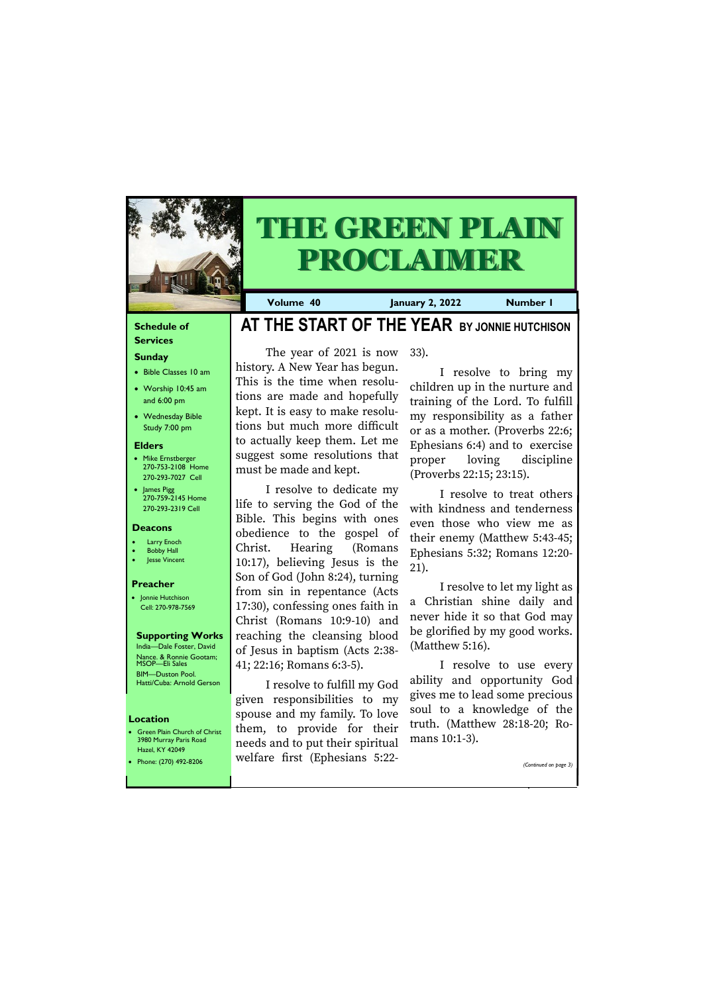### **Schedule of**

#### **Services Sunday**

- Bible Classes 10 am
- Worship 10:45 am and 6:00 pm
- Wednesday Bible Study 7:00 pm

#### **Elders**

**Green Plain Church of Christ** 3980 Murray Paris Road Hazel, KY 42049

- Mike Ernstberger 270-753-2108 Home 270-293-7027 Cell
- James Pigg 270-759-2145 Home 270-293-2319 Cell



# **THE GREEN PLAIN PROCLAIMER**

#### **Location**

**Volume 40 January 2, 2022 Number 1**

#### **Deacons**

- **Larry Enoch**
- **Bobby Hall**
- Jesse Vincent

#### **Preacher**

• Jonnie Hutchison Cell: 270-978-7569

#### **Supporting Works** India—Dale Foster, David Nance. & Ronnie Gootam; MSOP—Eli Sales

BIM—Duston Pool. Hatti/Cuba: Arnold Gerson

# **AT THE START OF THE YEAR BY JONNIE HUTCHISON**

The year of 2021 is now history. A New Year has begun. This is the time when resolutions are made and hopefully kept. It is easy to make resolutions but much more difficult to actually keep them. Let me suggest some resolutions that must be made and kept.

I resolve to dedicate my life to serving the God of the Bible. This begins with ones obedience to the gospel of Christ. Hearing (Romans 10:17), believing Jesus is the Son of God (John 8:24), turning from sin in repentance (Acts 17:30), confessing ones faith in Christ (Romans 10:9-10) and reaching the cleansing blood of Jesus in baptism (Acts 2:38- 41; 22:16; Romans 6:3-5).

| $T = T + T$<br>• Phone: $(270)$ 492-8206 | welfare first (Ephesians 5:22- | (Continued on page 3) |
|------------------------------------------|--------------------------------|-----------------------|
|                                          |                                |                       |

I resolve to fulfill my God given responsibilities to my spouse and my family. To love them, to provide for their needs and to put their spiritual

33).

I resolve to bring my children up in the nurture and training of the Lord. To fulfill my responsibility as a father or as a mother. (Proverbs 22:6; Ephesians 6:4) and to exercise proper loving discipline (Proverbs 22:15; 23:15).

I resolve to treat others with kindness and tenderness even those who view me as their enemy (Matthew 5:43-45; Ephesians 5:32; Romans 12:20- 21).

I resolve to let my light as a Christian shine daily and never hide it so that God may be glorified by my good works. (Matthew 5:16).

I resolve to use every ability and opportunity God gives me to lead some precious soul to a knowledge of the truth. (Matthew 28:18-20; Romans 10:1-3).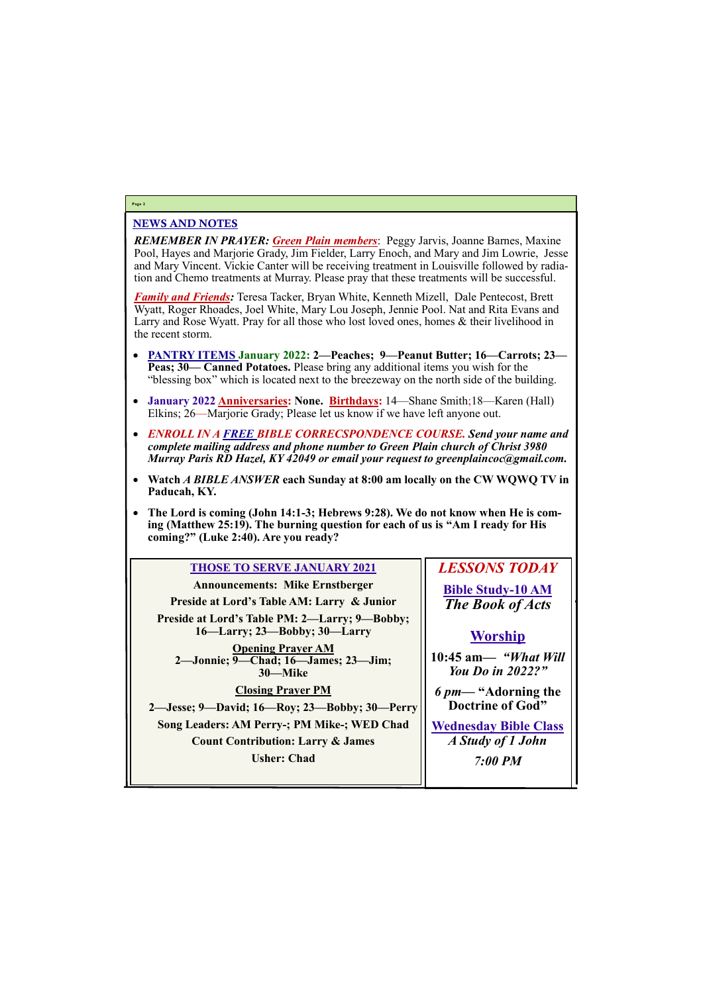### NEWS AND NOTES

*REMEMBER IN PRAYER: Green Plain members*: Peggy Jarvis, Joanne Barnes, Maxine Pool, Hayes and Marjorie Grady, Jim Fielder, Larry Enoch, and Mary and Jim Lowrie, Jesse and Mary Vincent. Vickie Canter will be receiving treatment in Louisville followed by radiation and Chemo treatments at Murray. Please pray that these treatments will be successful.

*Family and Friends:* Teresa Tacker, Bryan White, Kenneth Mizell, Dale Pentecost, Brett Wyatt, Roger Rhoades, Joel White, Mary Lou Joseph, Jennie Pool. Nat and Rita Evans and Larry and Rose Wyatt. Pray for all those who lost loved ones, homes & their livelihood in the recent storm.

- **PANTRY ITEMS January 2022: 2—Peaches; 9—Peanut Butter; 16—Carrots; 23— Peas; 30— Canned Potatoes.** Please bring any additional items you wish for the "blessing box" which is located next to the breezeway on the north side of the building.
- **January 2022 Anniversaries: None. Birthdays:** 14—Shane Smith;18—Karen (Hall) Elkins; 26—Marjorie Grady; Please let us know if we have left anyone out.
- *ENROLL IN A FREE BIBLE CORRECSPONDENCE COURSE. Send your name and complete mailing address and phone number to Green Plain church of Christ 3980 Murray Paris RD Hazel, KY 42049 or email your request to greenplaincoc@gmail.com.*
- **Watch** *A BIBLE ANSWER* **each Sunday at 8:00 am locally on the CW WQWQ TV in Paducah, KY.**
- The Lord is coming (John 14:1-3; Hebrews 9:28). We do not know when He is com**ing (Matthew 25:19). The burning question for each of us is "Am I ready for His coming?" (Luke 2:40). Are you ready?**

#### **Page 2**



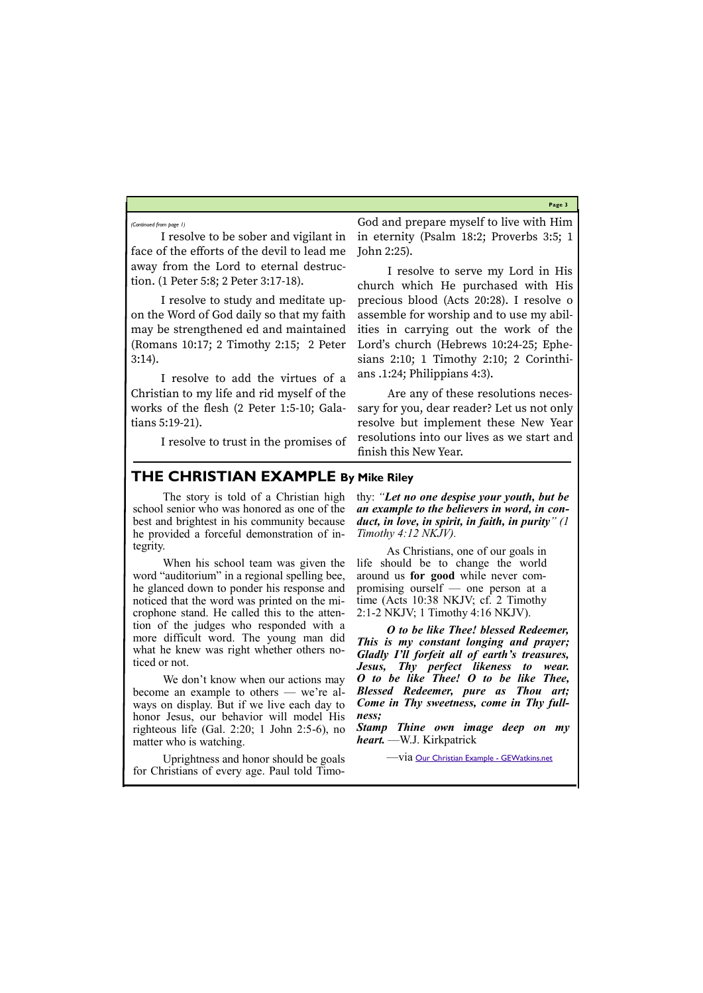**Page 3**

I resolve to be sober and vigilant in face of the efforts of the devil to lead me away from the Lord to eternal destruction. (1 Peter 5:8; 2 Peter 3:17-18).

I resolve to study and meditate upon the Word of God daily so that my faith may be strengthened ed and maintained (Romans 10:17; 2 Timothy 2:15; 2 Peter 3:14).

I resolve to add the virtues of a Christian to my life and rid myself of the works of the flesh (2 Peter 1:5-10; Galatians 5:19-21).

I resolve to trust in the promises of

God and prepare myself to live with Him in eternity (Psalm 18:2; Proverbs 3:5; 1 John 2:25).

I resolve to serve my Lord in His church which He purchased with His precious blood (Acts 20:28). I resolve o assemble for worship and to use my abilities in carrying out the work of the Lord's church (Hebrews 10:24-25; Ephesians 2:10; 1 Timothy 2:10; 2 Corinthians .1:24; Philippians 4:3).

We don't know when our actions may become an example to others — we're always on display. But if we live each day to honor Jesus, our behavior will model His righteous life (Gal. 2:20; 1 John 2:5-6), no matter who is watching.

Are any of these resolutions necessary for you, dear reader? Let us not only resolve but implement these New Year resolutions into our lives as we start and finish this New Year.

*(Continued from page 1)*

## **THE CHRISTIAN EXAMPLE By Mike Riley**

The story is told of a Christian high school senior who was honored as one of the best and brightest in his community because he provided a forceful demonstration of integrity.

When his school team was given the word "auditorium" in a regional spelling bee, he glanced down to ponder his response and noticed that the word was printed on the microphone stand. He called this to the attention of the judges who responded with a more difficult word. The young man did what he knew was right whether others noticed or not.

Uprightness and honor should be goals for Christians of every age. Paul told Timo-

-V1a [Our Christian Example -](https://gewatkins.net/our-christian-example/) GEWatkins.net

thy: *"Let no one despise your youth, but be an example to the believers in word, in conduct, in love, in spirit, in faith, in purity" (1 Timothy 4:12 NKJV).*

As Christians, one of our goals in life should be to change the world around us **for good** while never compromising ourself — one person at a time (Acts 10:38 NKJV; cf. 2 Timothy 2:1-2 NKJV; 1 Timothy 4:16 NKJV).

*O to be like Thee! blessed Redeemer, This is my constant longing and prayer; Gladly I'll forfeit all of earth's treasures, Jesus, Thy perfect likeness to wear. O to be like Thee! O to be like Thee, Blessed Redeemer, pure as Thou art; Come in Thy sweetness, come in Thy fullness;*

*Stamp Thine own image deep on my heart.* —W.J. Kirkpatrick